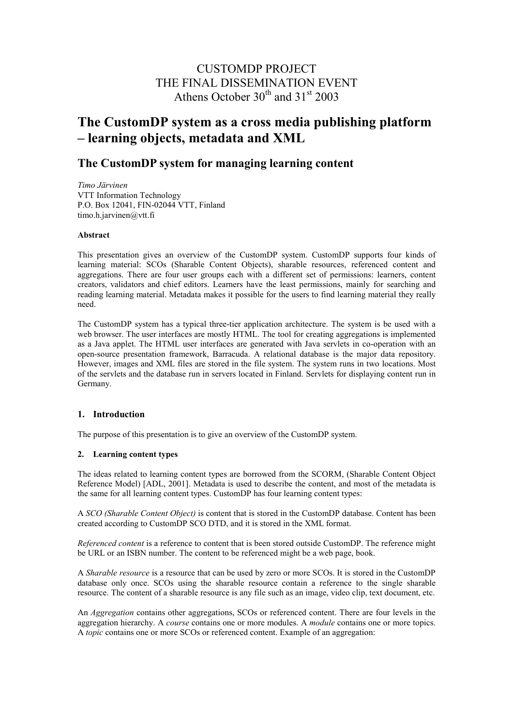## CUSTOMDP PROJECT THE FINAL DISSEMINATION EVENT Athens October  $30^{th}$  and  $31^{st}$  2003

# **The CustomDP system as a cross media publishing platform – learning objects, metadata and XML**

### **The CustomDP system for managing learning content**

*Timo Järvinen* VTT Information Technology P.O. Box 12041, FIN-02044 VTT, Finland timo.h.jarvinen@vtt.fi

#### **Abstract**

This presentation gives an overview of the CustomDP system. CustomDP supports four kinds of learning material: SCOs (Sharable Content Objects), sharable resources, referenced content and aggregations. There are four user groups each with a different set of permissions: learners, content creators, validators and chief editors. Learners have the least permissions, mainly for searching and reading learning material. Metadata makes it possible for the users to find learning material they really need.

The CustomDP system has a typical three-tier application architecture. The system is be used with a web browser. The user interfaces are mostly HTML. The tool for creating aggregations is implemented as a Java applet. The HTML user interfaces are generated with Java servlets in co-operation with an open-source presentation framework, Barracuda. A relational database is the major data repository. However, images and XML files are stored in the file system. The system runs in two locations. Most of the servlets and the database run in servers located in Finland. Servlets for displaying content run in Germany.

#### **1. Introduction**

The purpose of this presentation is to give an overview of the CustomDP system.

#### **2. Learning content types**

The ideas related to learning content types are borrowed from the SCORM, (Sharable Content Object Reference Model) [ADL, 2001]. Metadata is used to describe the content, and most of the metadata is the same for all learning content types. CustomDP has four learning content types:

A *SCO (Sharable Content Object)* is content that is stored in the CustomDP database. Content has been created according to CustomDP SCO DTD, and it is stored in the XML format.

*Referenced content* is a reference to content that is been stored outside CustomDP. The reference might be URL or an ISBN number. The content to be referenced might be a web page, book.

A *Sharable resource* is a resource that can be used by zero or more SCOs. It is stored in the CustomDP database only once. SCOs using the sharable resource contain a reference to the single sharable resource. The content of a sharable resource is any file such as an image, video clip, text document, etc.

An *Aggregation* contains other aggregations, SCOs or referenced content. There are four levels in the aggregation hierarchy. A *course* contains one or more modules. A *module* contains one or more topics. A *topic* contains one or more SCOs or referenced content. Example of an aggregation: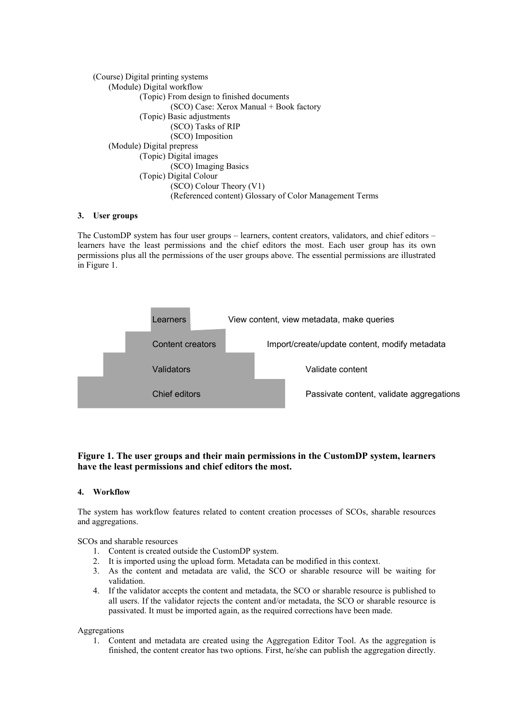(Course) Digital printing systems (Module) Digital workflow (Topic) From design to finished documents (SCO) Case: Xerox Manual + Book factory (Topic) Basic adjustments (SCO) Tasks of RIP (SCO) Imposition (Module) Digital prepress (Topic) Digital images (SCO) Imaging Basics (Topic) Digital Colour (SCO) Colour Theory (V1) (Referenced content) Glossary of Color Management Terms

#### **3. User groups**

The CustomDP system has four user groups – learners, content creators, validators, and chief editors – learners have the least permissions and the chief editors the most. Each user group has its own permissions plus all the permissions of the user groups above. The essential permissions are illustrated in Figure 1.



#### **Figure 1. The user groups and their main permissions in the CustomDP system, learners have the least permissions and chief editors the most.**

#### **4. Workflow**

The system has workflow features related to content creation processes of SCOs, sharable resources and aggregations.

SCOs and sharable resources

- 1. Content is created outside the CustomDP system.
- 2. It is imported using the upload form. Metadata can be modified in this context.
- 3. As the content and metadata are valid, the SCO or sharable resource will be waiting for validation.
- 4. If the validator accepts the content and metadata, the SCO or sharable resource is published to all users. If the validator rejects the content and/or metadata, the SCO or sharable resource is passivated. It must be imported again, as the required corrections have been made.

#### Aggregations

1. Content and metadata are created using the Aggregation Editor Tool. As the aggregation is finished, the content creator has two options. First, he/she can publish the aggregation directly.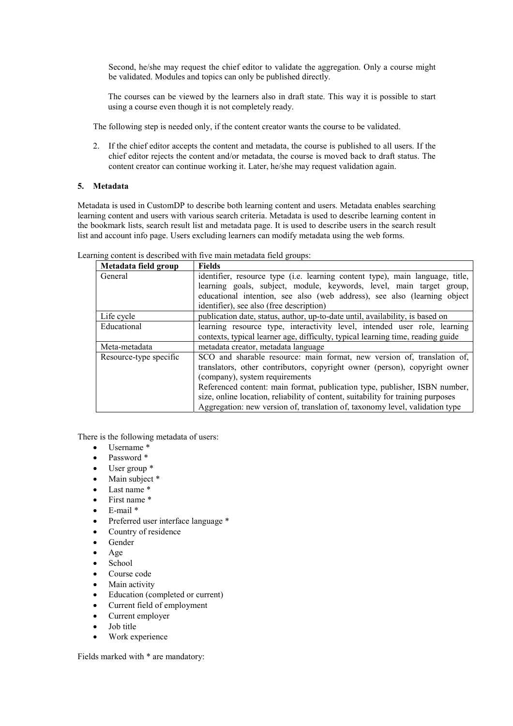Second, he/she may request the chief editor to validate the aggregation. Only a course might be validated. Modules and topics can only be published directly.

The courses can be viewed by the learners also in draft state. This way it is possible to start using a course even though it is not completely ready.

The following step is needed only, if the content creator wants the course to be validated.

2. If the chief editor accepts the content and metadata, the course is published to all users. If the chief editor rejects the content and/or metadata, the course is moved back to draft status. The content creator can continue working it. Later, he/she may request validation again.

#### **5. Metadata**

Metadata is used in CustomDP to describe both learning content and users. Metadata enables searching learning content and users with various search criteria. Metadata is used to describe learning content in the bookmark lists, search result list and metadata page. It is used to describe users in the search result list and account info page. Users excluding learners can modify metadata using the web forms.

| Metadata field group   | <b>Fields</b>                                                                    |
|------------------------|----------------------------------------------------------------------------------|
| General                | identifier, resource type (i.e. learning content type), main language, title,    |
|                        | learning goals, subject, module, keywords, level, main target group,             |
|                        | educational intention, see also (web address), see also (learning object         |
|                        | identifier), see also (free description)                                         |
| Life cycle             | publication date, status, author, up-to-date until, availability, is based on    |
| Educational            | learning resource type, interactivity level, intended user role, learning        |
|                        | contexts, typical learner age, difficulty, typical learning time, reading guide  |
| Meta-metadata          | metadata creator, metadata language                                              |
| Resource-type specific | SCO and sharable resource: main format, new version of, translation of,          |
|                        | translators, other contributors, copyright owner (person), copyright owner       |
|                        | (company), system requirements                                                   |
|                        | Referenced content: main format, publication type, publisher, ISBN number,       |
|                        | size, online location, reliability of content, suitability for training purposes |
|                        | Aggregation: new version of, translation of, taxonomy level, validation type     |

Learning content is described with five main metadata field groups:

There is the following metadata of users:

- Username \*
- Password \*
- User group \*
- Main subject \*
- Last name  $*$
- First name \*
- E-mail \*
- Preferred user interface language \*
- Country of residence
- Gender
- Age
- School
- Course code
- Main activity
- Education (completed or current)
- Current field of employment
- Current employer
- Job title
- Work experience

Fields marked with \* are mandatory: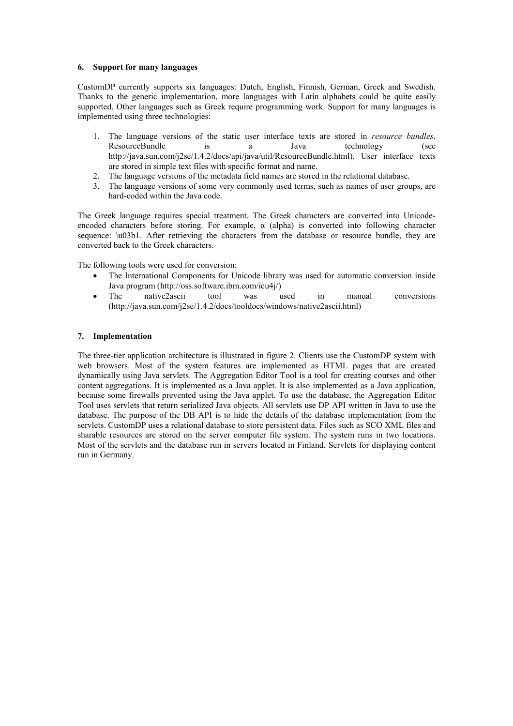#### **6. Support for many languages**

CustomDP currently supports six languages: Dutch, English, Finnish, German, Greek and Swedish. Thanks to the generic implementation, more languages with Latin alphabets could be quite easily supported. Other languages such as Greek require programming work. Support for many languages is implemented using three technologies:

- 1. The language versions of the static user interface texts are stored in *resource bundles*. ResourceBundle is a Java technology (see http://java.sun.com/j2se/1.4.2/docs/api/java/util/ResourceBundle.html). User interface texts are stored in simple text files with specific format and name.
- 2. The language versions of the metadata field names are stored in the relational database.
- 3. The language versions of some very commonly used terms, such as names of user groups, are hard-coded within the Java code.

The Greek language requires special treatment. The Greek characters are converted into Unicodeencoded characters before storing. For example,  $\alpha$  (alpha) is converted into following character sequence: \u03b1. After retrieving the characters from the database or resource bundle, they are converted back to the Greek characters.

The following tools were used for conversion:

- The International Components for Unicode library was used for automatic conversion inside Java program (http://oss.software.ibm.com/icu4j/)
- The native2ascii tool was used in manual conversions (http://java.sun.com/j2se/1.4.2/docs/tooldocs/windows/native2ascii.html)

#### **7. Implementation**

The three-tier application architecture is illustrated in figure 2. Clients use the CustomDP system with web browsers. Most of the system features are implemented as HTML pages that are created dynamically using Java servlets. The Aggregation Editor Tool is a tool for creating courses and other content aggregations. It is implemented as a Java applet. It is also implemented as a Java application, because some firewalls prevented using the Java applet. To use the database, the Aggregation Editor Tool uses servlets that return serialized Java objects. All servlets use DP API written in Java to use the database. The purpose of the DB API is to hide the details of the database implementation from the servlets. CustomDP uses a relational database to store persistent data. Files such as SCO XML files and sharable resources are stored on the server computer file system. The system runs in two locations. Most of the servlets and the database run in servers located in Finland. Servlets for displaying content run in Germany.